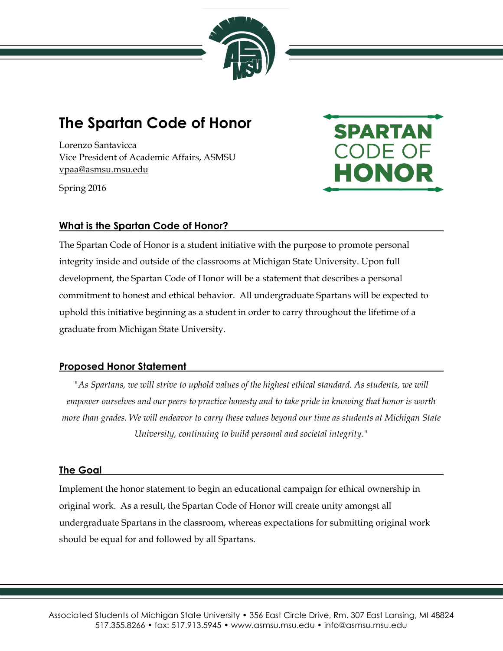

# **The Spartan Code of Honor**

Lorenzo Santavicca Vice President of Academic Affairs, ASMSU vpaa@asmsu.msu.edu

Spring 2016

# **SPARTAN** CODE OF HONOR

# **What is the Spartan Code of Honor?**

The Spartan Code of Honor is a student initiative with the purpose to promote personal integrity inside and outside of the classrooms at Michigan State University. Upon full development, the Spartan Code of Honor will be a statement that describes a personal commitment to honest and ethical behavior. All undergraduate Spartans will be expected to uphold this initiative beginning as a student in order to carry throughout the lifetime of a graduate from Michigan State University.

# **Proposed Honor Statement**

*"As Spartans, we will strive to uphold values of the highest ethical standard. As students, we will empower ourselves and our peers to practice honesty and to take pride in knowing that honor is worth more than grades. We will endeavor to carry these values beyond our time as students at Michigan State University, continuing to build personal and societal integrity."*

#### **The Goal**

Implement the honor statement to begin an educational campaign for ethical ownership in original work. As a result, the Spartan Code of Honor will create unity amongst all undergraduate Spartans in the classroom, whereas expectations for submitting original work should be equal for and followed by all Spartans.